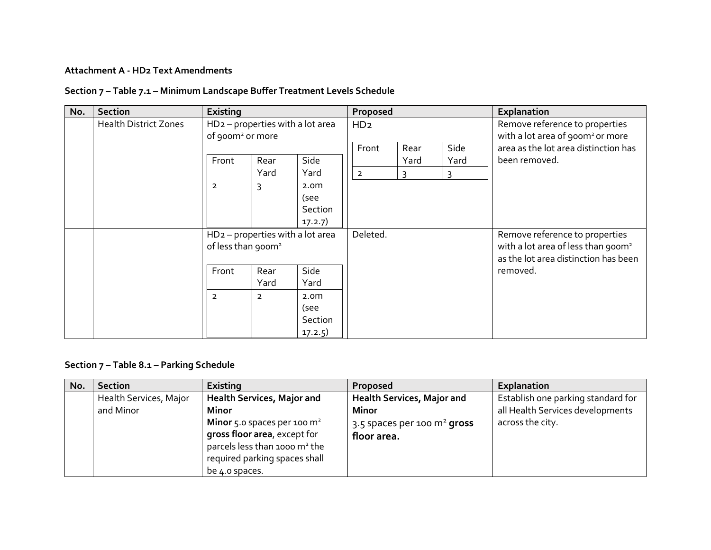## **Attachment A - HD2 Text Amendments**

## **Section 7 – Table 7.1 – Minimum Landscape Buffer Treatment Levels Schedule**

| No. | Section                      | Existing                                                                     |                |                                                | Proposed        |                      |           | Explanation                                                                                                              |
|-----|------------------------------|------------------------------------------------------------------------------|----------------|------------------------------------------------|-----------------|----------------------|-----------|--------------------------------------------------------------------------------------------------------------------------|
|     | <b>Health District Zones</b> | HD <sub>2</sub> - properties with a lot area<br>of 900m <sup>2</sup> or more |                |                                                | HD <sub>2</sub> |                      |           | Remove reference to properties<br>with a lot area of 900m <sup>2</sup> or more                                           |
|     |                              |                                                                              |                |                                                | Front           | Side<br>Rear<br>Yard |           | area as the lot area distinction has                                                                                     |
|     |                              | Front                                                                        | Rear<br>Yard   | Side<br>Yard                                   | $\overline{2}$  | 3                    | Yard<br>3 | been removed.                                                                                                            |
|     |                              | $\overline{2}$                                                               | 3              | 2.0 <sub>m</sub><br>(see<br>Section<br>17.2.7) |                 |                      |           |                                                                                                                          |
|     |                              | $HD2$ – properties with a lot area<br>of less than 900m <sup>2</sup>         |                |                                                | Deleted.        |                      |           | Remove reference to properties<br>with a lot area of less than 900m <sup>2</sup><br>as the lot area distinction has been |
|     |                              | Front                                                                        | Rear<br>Yard   | Side<br>Yard                                   |                 |                      |           | removed.                                                                                                                 |
|     |                              | $\overline{2}$                                                               | $\overline{2}$ | 2.0 <sub>m</sub><br>(see<br>Section<br>17.2.5) |                 |                      |           |                                                                                                                          |

## **Section 7 – Table 8.1 – Parking Schedule**

| No. | <b>Section</b>                      | Existing                                                                                                                                                                                                                   | <b>Proposed</b>                                                                                             | Explanation                                                                                |
|-----|-------------------------------------|----------------------------------------------------------------------------------------------------------------------------------------------------------------------------------------------------------------------------|-------------------------------------------------------------------------------------------------------------|--------------------------------------------------------------------------------------------|
|     | Health Services, Major<br>and Minor | <b>Health Services, Major and</b><br><b>Minor</b><br><b>Minor</b> 5.0 spaces per 100 $m^2$<br>gross floor area, except for<br>parcels less than 1000 m <sup>2</sup> the<br>required parking spaces shall<br>be 4.0 spaces. | <b>Health Services, Major and</b><br><b>Minor</b><br>3.5 spaces per 100 $\mathrm{m}^2$ gross<br>floor area. | Establish one parking standard for<br>all Health Services developments<br>across the city. |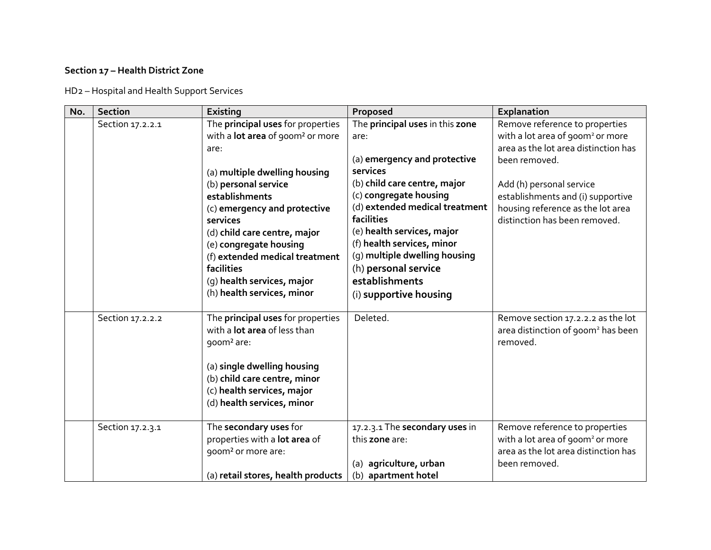## **Section 17 – Health District Zone**

HD2 – Hospital and Health Support Services

| No. | <b>Section</b>   | Existing                                                                                                                                                                                                                                                                                                                                                                                      | Proposed                                                                                                                                                                                                                                                                                                                                                       | Explanation                                                                                                                                                                                                                                                                    |
|-----|------------------|-----------------------------------------------------------------------------------------------------------------------------------------------------------------------------------------------------------------------------------------------------------------------------------------------------------------------------------------------------------------------------------------------|----------------------------------------------------------------------------------------------------------------------------------------------------------------------------------------------------------------------------------------------------------------------------------------------------------------------------------------------------------------|--------------------------------------------------------------------------------------------------------------------------------------------------------------------------------------------------------------------------------------------------------------------------------|
|     | Section 17.2.2.1 | The principal uses for properties<br>with a <b>lot area</b> of 900m <sup>2</sup> or more<br>are:<br>(a) multiple dwelling housing<br>(b) personal service<br>establishments<br>(c) emergency and protective<br>services<br>(d) child care centre, major<br>(e) congregate housing<br>(f) extended medical treatment<br>facilities<br>(g) health services, major<br>(h) health services, minor | The principal uses in this zone<br>are:<br>(a) emergency and protective<br>services<br>(b) child care centre, major<br>(c) congregate housing<br>(d) extended medical treatment<br>facilities<br>(e) health services, major<br>(f) health services, minor<br>(g) multiple dwelling housing<br>(h) personal service<br>establishments<br>(i) supportive housing | Remove reference to properties<br>with a lot area of 900m <sup>2</sup> or more<br>area as the lot area distinction has<br>been removed.<br>Add (h) personal service<br>establishments and (i) supportive<br>housing reference as the lot area<br>distinction has been removed. |
|     | Section 17.2.2.2 | The principal uses for properties<br>with a <b>lot area</b> of less than<br>900m <sup>2</sup> are:<br>(a) single dwelling housing<br>(b) child care centre, minor<br>(c) health services, major<br>(d) health services, minor                                                                                                                                                                 | Deleted.                                                                                                                                                                                                                                                                                                                                                       | Remove section 17.2.2.2 as the lot<br>area distinction of 900m <sup>2</sup> has been<br>removed.                                                                                                                                                                               |
|     | Section 17.2.3.1 | The secondary uses for<br>properties with a lot area of<br>goom <sup>2</sup> or more are:<br>(a) retail stores, health products                                                                                                                                                                                                                                                               | 17.2.3.1 The secondary uses in<br>this zone are:<br>(a) agriculture, urban<br>(b) apartment hotel                                                                                                                                                                                                                                                              | Remove reference to properties<br>with a lot area of 900m <sup>2</sup> or more<br>area as the lot area distinction has<br>been removed.                                                                                                                                        |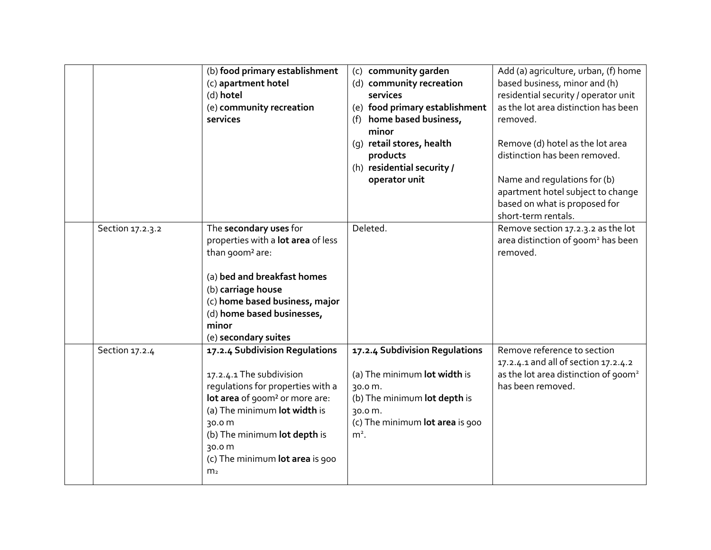|                  | (b) food primary establishment<br>(c) apartment hotel<br>(d) hotel<br>(e) community recreation<br>services                                                                                                                                                                             | (c) community garden<br>(d) community recreation<br>services<br>(e) food primary establishment<br>(f) home based business,<br>minor<br>(g) retail stores, health<br>products<br>(h) residential security /<br>operator unit | Add (a) agriculture, urban, (f) home<br>based business, minor and (h)<br>residential security / operator unit<br>as the lot area distinction has been<br>removed.<br>Remove (d) hotel as the lot area<br>distinction has been removed.<br>Name and regulations for (b)<br>apartment hotel subject to change<br>based on what is proposed for<br>short-term rentals. |
|------------------|----------------------------------------------------------------------------------------------------------------------------------------------------------------------------------------------------------------------------------------------------------------------------------------|-----------------------------------------------------------------------------------------------------------------------------------------------------------------------------------------------------------------------------|---------------------------------------------------------------------------------------------------------------------------------------------------------------------------------------------------------------------------------------------------------------------------------------------------------------------------------------------------------------------|
| Section 17.2.3.2 | The secondary uses for<br>properties with a lot area of less<br>than 900m <sup>2</sup> are:<br>(a) bed and breakfast homes<br>(b) carriage house<br>(c) home based business, major<br>(d) home based businesses,<br>minor<br>(e) secondary suites                                      | Deleted.                                                                                                                                                                                                                    | Remove section 17.2.3.2 as the lot<br>area distinction of 900m <sup>2</sup> has been<br>removed.                                                                                                                                                                                                                                                                    |
| Section 17.2.4   | 17.2.4 Subdivision Regulations<br>17.2.4.1 The subdivision<br>requlations for properties with a<br>lot area of 900m <sup>2</sup> or more are:<br>(a) The minimum lot width is<br>30.0 m<br>(b) The minimum lot depth is<br>30.0 m<br>(c) The minimum lot area is 900<br>m <sub>2</sub> | 17.2.4 Subdivision Regulations<br>(a) The minimum lot width is<br>30.0 m.<br>(b) The minimum lot depth is<br>30.0 m.<br>(c) The minimum lot area is 900<br>$m2$ .                                                           | Remove reference to section<br>17.2.4.1 and all of section 17.2.4.2<br>as the lot area distinction of 900m <sup>2</sup><br>has been removed.                                                                                                                                                                                                                        |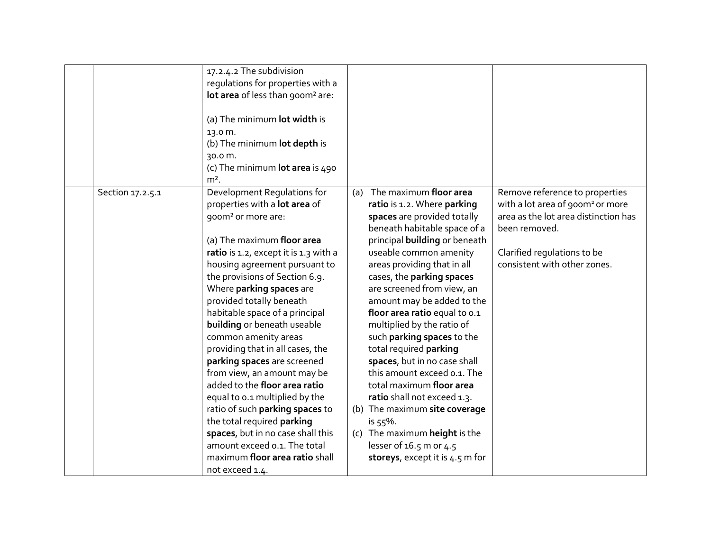|                  | 17.2.4.2 The subdivision<br>regulations for properties with a<br>lot area of less than 900m <sup>2</sup> are:<br>(a) The minimum lot width is<br>13.0 m.<br>(b) The minimum lot depth is<br>30.0 m.<br>(c) The minimum lot area is 490<br>$m2$ .                                                                                                                                                                                                                                                                                                                                                                                                                                                                                                          |                                                                                                                                                                                                                                                                                                                                                                                                                                                                                                                                                                                                                                                                                                                   |                                                                                                                                                                                                        |
|------------------|-----------------------------------------------------------------------------------------------------------------------------------------------------------------------------------------------------------------------------------------------------------------------------------------------------------------------------------------------------------------------------------------------------------------------------------------------------------------------------------------------------------------------------------------------------------------------------------------------------------------------------------------------------------------------------------------------------------------------------------------------------------|-------------------------------------------------------------------------------------------------------------------------------------------------------------------------------------------------------------------------------------------------------------------------------------------------------------------------------------------------------------------------------------------------------------------------------------------------------------------------------------------------------------------------------------------------------------------------------------------------------------------------------------------------------------------------------------------------------------------|--------------------------------------------------------------------------------------------------------------------------------------------------------------------------------------------------------|
| Section 17.2.5.1 | Development Regulations for<br>properties with a lot area of<br>goom <sup>2</sup> or more are:<br>(a) The maximum floor area<br>ratio is 1.2, except it is 1.3 with a<br>housing agreement pursuant to<br>the provisions of Section 6.9.<br>Where parking spaces are<br>provided totally beneath<br>habitable space of a principal<br>building or beneath useable<br>common amenity areas<br>providing that in all cases, the<br>parking spaces are screened<br>from view, an amount may be<br>added to the floor area ratio<br>equal to 0.1 multiplied by the<br>ratio of such parking spaces to<br>the total required parking<br>spaces, but in no case shall this<br>amount exceed o.1. The total<br>maximum floor area ratio shall<br>not exceed 1.4. | (a) The maximum floor area<br>ratio is 1.2. Where parking<br>spaces are provided totally<br>beneath habitable space of a<br>principal <b>building</b> or beneath<br>useable common amenity<br>areas providing that in all<br>cases, the parking spaces<br>are screened from view, an<br>amount may be added to the<br>floor area ratio equal to 0.1<br>multiplied by the ratio of<br>such parking spaces to the<br>total required parking<br>spaces, but in no case shall<br>this amount exceed o.1. The<br>total maximum floor area<br>ratio shall not exceed 1.3.<br>(b) The maximum site coverage<br>is $55%$ .<br>(c) The maximum height is the<br>lesser of 16.5 m or 4.5<br>storeys, except it is 4.5 m for | Remove reference to properties<br>with a lot area of 900m <sup>2</sup> or more<br>area as the lot area distinction has<br>been removed.<br>Clarified regulations to be<br>consistent with other zones. |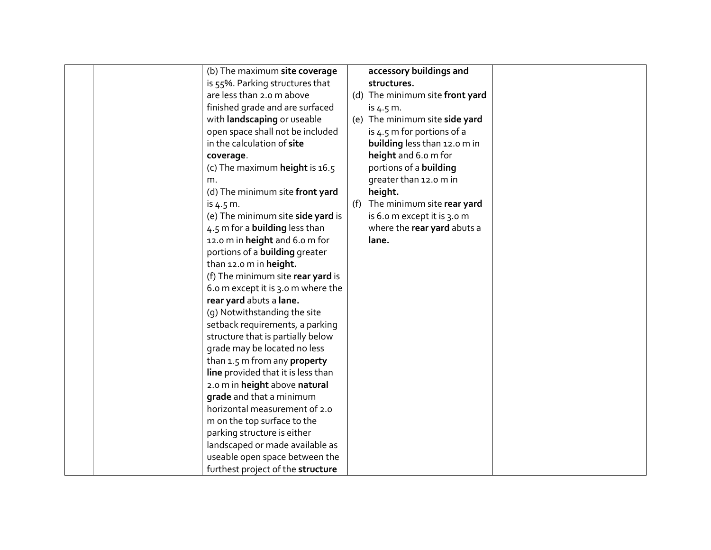|  | (b) The maximum site coverage         |     | accessory buildings and         |  |
|--|---------------------------------------|-----|---------------------------------|--|
|  | is 55%. Parking structures that       |     | structures.                     |  |
|  | are less than 2.0 m above             |     | (d) The minimum site front yard |  |
|  | finished grade and are surfaced       |     | is $4.5 \, \text{m}$ .          |  |
|  | with landscaping or useable           |     | (e) The minimum site side yard  |  |
|  | open space shall not be included      |     | is 4.5 m for portions of a      |  |
|  | in the calculation of site            |     | building less than 12.0 m in    |  |
|  | coverage.                             |     | height and 6.0 m for            |  |
|  | (c) The maximum height is 16.5        |     | portions of a building          |  |
|  | m.                                    |     | greater than 12.0 m in          |  |
|  | (d) The minimum site front yard       |     | height.                         |  |
|  | is $4.5 \, \text{m}$ .                | (f) | The minimum site rear yard      |  |
|  | (e) The minimum site side yard is     |     | is 6.0 m except it is 3.0 m     |  |
|  | 4.5 m for a building less than        |     | where the rear yard abuts a     |  |
|  | 12.0 m in height and 6.0 m for        |     | lane.                           |  |
|  | portions of a <b>building</b> greater |     |                                 |  |
|  |                                       |     |                                 |  |
|  | than 12.0 m in height.                |     |                                 |  |
|  | (f) The minimum site rear yard is     |     |                                 |  |
|  | 6.0 m except it is 3.0 m where the    |     |                                 |  |
|  | rear yard abuts a lane.               |     |                                 |  |
|  | (g) Notwithstanding the site          |     |                                 |  |
|  | setback requirements, a parking       |     |                                 |  |
|  | structure that is partially below     |     |                                 |  |
|  | grade may be located no less          |     |                                 |  |
|  | than $1.5$ m from any property        |     |                                 |  |
|  | line provided that it is less than    |     |                                 |  |
|  | 2.0 m in height above natural         |     |                                 |  |
|  | grade and that a minimum              |     |                                 |  |
|  | horizontal measurement of 2.0         |     |                                 |  |
|  | m on the top surface to the           |     |                                 |  |
|  | parking structure is either           |     |                                 |  |
|  | landscaped or made available as       |     |                                 |  |
|  | useable open space between the        |     |                                 |  |
|  | furthest project of the structure     |     |                                 |  |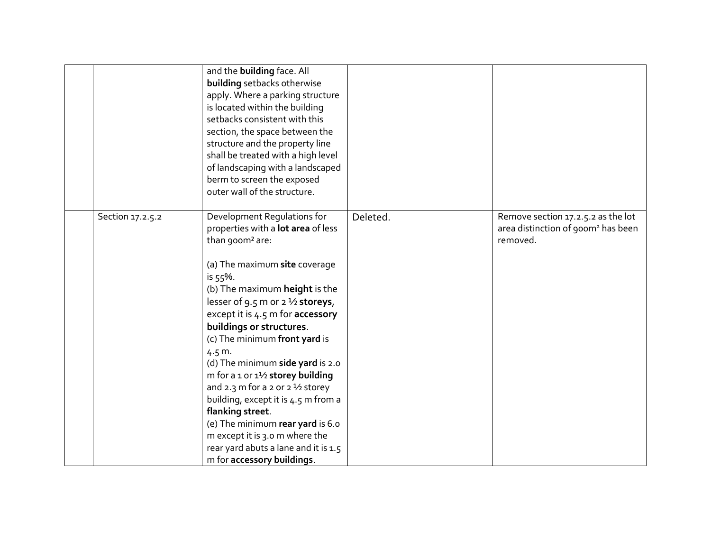|                  | and the building face. All<br>building setbacks otherwise<br>apply. Where a parking structure<br>is located within the building<br>setbacks consistent with this<br>section, the space between the<br>structure and the property line<br>shall be treated with a high level<br>of landscaping with a landscaped<br>berm to screen the exposed<br>outer wall of the structure.                                                                                                                                                                                                                                                                                                   |          |                                                                                                  |
|------------------|---------------------------------------------------------------------------------------------------------------------------------------------------------------------------------------------------------------------------------------------------------------------------------------------------------------------------------------------------------------------------------------------------------------------------------------------------------------------------------------------------------------------------------------------------------------------------------------------------------------------------------------------------------------------------------|----------|--------------------------------------------------------------------------------------------------|
| Section 17.2.5.2 | Development Regulations for<br>properties with a lot area of less<br>than 900m <sup>2</sup> are:<br>(a) The maximum site coverage<br>is 55%.<br>(b) The maximum height is the<br>lesser of 9.5 m or 2 $\frac{1}{2}$ storeys,<br>except it is 4.5 m for accessory<br>buildings or structures.<br>(c) The minimum front yard is<br>4.5 m.<br>(d) The minimum side yard is 2.0<br>m for a 1 or $1\frac{1}{2}$ storey building<br>and 2.3 m for a 2 or $2\frac{1}{2}$ storey<br>building, except it is 4.5 m from a<br>flanking street.<br>(e) The minimum rear yard is 6.0<br>m except it is 3.0 m where the<br>rear yard abuts a lane and it is 1.5<br>m for accessory buildings. | Deleted. | Remove section 17.2.5.2 as the lot<br>area distinction of 900m <sup>2</sup> has been<br>removed. |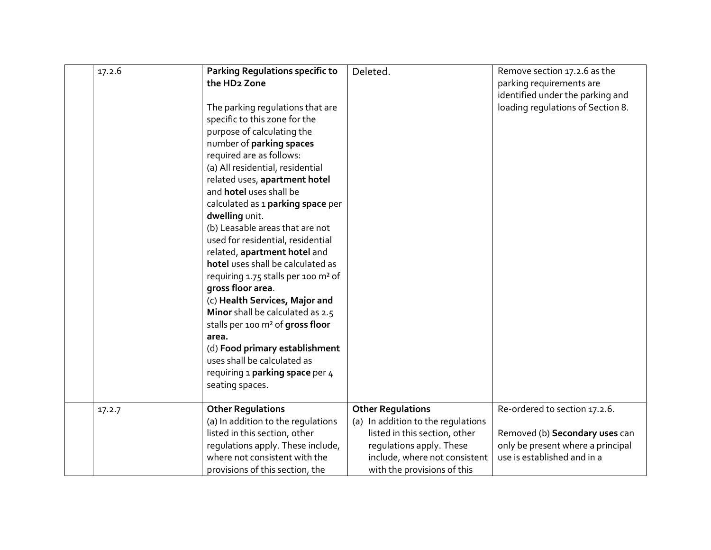| 17.2.6 | <b>Parking Regulations specific to</b><br>the HD <sub>2</sub> Zone<br>The parking regulations that are<br>specific to this zone for the<br>purpose of calculating the<br>number of parking spaces<br>required are as follows:<br>(a) All residential, residential<br>related uses, apartment hotel<br>and hotel uses shall be<br>calculated as 1 parking space per<br>dwelling unit.<br>(b) Leasable areas that are not<br>used for residential, residential<br>related, apartment hotel and<br>hotel uses shall be calculated as<br>requiring 1.75 stalls per 100 m <sup>2</sup> of<br>gross floor area.<br>(c) Health Services, Major and<br>Minor shall be calculated as 2.5<br>stalls per 100 m <sup>2</sup> of gross floor<br>area.<br>(d) Food primary establishment<br>uses shall be calculated as<br>requiring 1 parking space per 4<br>seating spaces. | Deleted.                                                                                                                                                                                    | Remove section 17.2.6 as the<br>parking requirements are<br>identified under the parking and<br>loading regulations of Section 8.   |
|--------|-----------------------------------------------------------------------------------------------------------------------------------------------------------------------------------------------------------------------------------------------------------------------------------------------------------------------------------------------------------------------------------------------------------------------------------------------------------------------------------------------------------------------------------------------------------------------------------------------------------------------------------------------------------------------------------------------------------------------------------------------------------------------------------------------------------------------------------------------------------------|---------------------------------------------------------------------------------------------------------------------------------------------------------------------------------------------|-------------------------------------------------------------------------------------------------------------------------------------|
| 17.2.7 | <b>Other Regulations</b><br>(a) In addition to the regulations<br>listed in this section, other<br>regulations apply. These include,<br>where not consistent with the<br>provisions of this section, the                                                                                                                                                                                                                                                                                                                                                                                                                                                                                                                                                                                                                                                        | <b>Other Regulations</b><br>(a) In addition to the regulations<br>listed in this section, other<br>regulations apply. These<br>include, where not consistent<br>with the provisions of this | Re-ordered to section 17.2.6.<br>Removed (b) Secondary uses can<br>only be present where a principal<br>use is established and in a |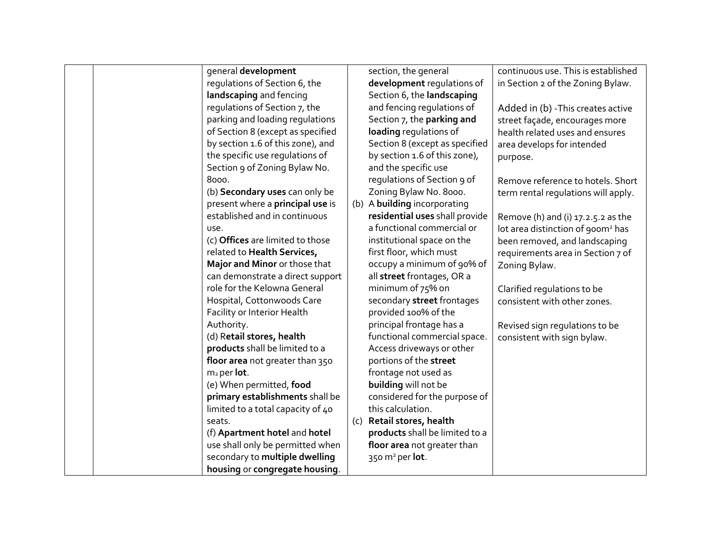|  | general development               |     | section, the general           | continuous use. This is established           |
|--|-----------------------------------|-----|--------------------------------|-----------------------------------------------|
|  | regulations of Section 6, the     |     | development regulations of     | in Section 2 of the Zoning Bylaw.             |
|  | landscaping and fencing           |     | Section 6, the landscaping     |                                               |
|  | regulations of Section 7, the     |     | and fencing regulations of     | Added in (b) - This creates active            |
|  | parking and loading regulations   |     | Section 7, the parking and     | street façade, encourages more                |
|  | of Section 8 (except as specified |     | loading regulations of         | health related uses and ensures               |
|  | by section 1.6 of this zone), and |     | Section 8 (except as specified | area develops for intended                    |
|  | the specific use regulations of   |     | by section 1.6 of this zone),  | purpose.                                      |
|  | Section 9 of Zoning Bylaw No.     |     | and the specific use           |                                               |
|  | 8000.                             |     | regulations of Section 9 of    | Remove reference to hotels. Short             |
|  | (b) Secondary uses can only be    |     | Zoning Bylaw No. 8000.         | term rental regulations will apply.           |
|  | present where a principal use is  |     | (b) A building incorporating   |                                               |
|  | established and in continuous     |     | residential uses shall provide | Remove (h) and (i) 17.2.5.2 as the            |
|  | use.                              |     | a functional commercial or     | lot area distinction of 900m <sup>2</sup> has |
|  | (c) Offices are limited to those  |     | institutional space on the     | been removed, and landscaping                 |
|  | related to Health Services,       |     | first floor, which must        | requirements area in Section 7 of             |
|  | Major and Minor or those that     |     | occupy a minimum of 90% of     | Zoning Bylaw.                                 |
|  | can demonstrate a direct support  |     | all street frontages, OR a     |                                               |
|  | role for the Kelowna General      |     | minimum of 75% on              | Clarified regulations to be                   |
|  | Hospital, Cottonwoods Care        |     | secondary street frontages     | consistent with other zones.                  |
|  | Facility or Interior Health       |     | provided 100% of the           |                                               |
|  | Authority.                        |     | principal frontage has a       | Revised sign regulations to be                |
|  | (d) Retail stores, health         |     | functional commercial space.   | consistent with sign bylaw.                   |
|  | products shall be limited to a    |     | Access driveways or other      |                                               |
|  | floor area not greater than 350   |     | portions of the street         |                                               |
|  | $m2$ per lot.                     |     | frontage not used as           |                                               |
|  | (e) When permitted, food          |     | building will not be           |                                               |
|  | primary establishments shall be   |     | considered for the purpose of  |                                               |
|  | limited to a total capacity of 40 |     | this calculation.              |                                               |
|  | seats.                            | (c) | Retail stores, health          |                                               |
|  | (f) Apartment hotel and hotel     |     | products shall be limited to a |                                               |
|  | use shall only be permitted when  |     | floor area not greater than    |                                               |
|  | secondary to multiple dwelling    |     | 350 $m^2$ per lot.             |                                               |
|  | housing or congregate housing.    |     |                                |                                               |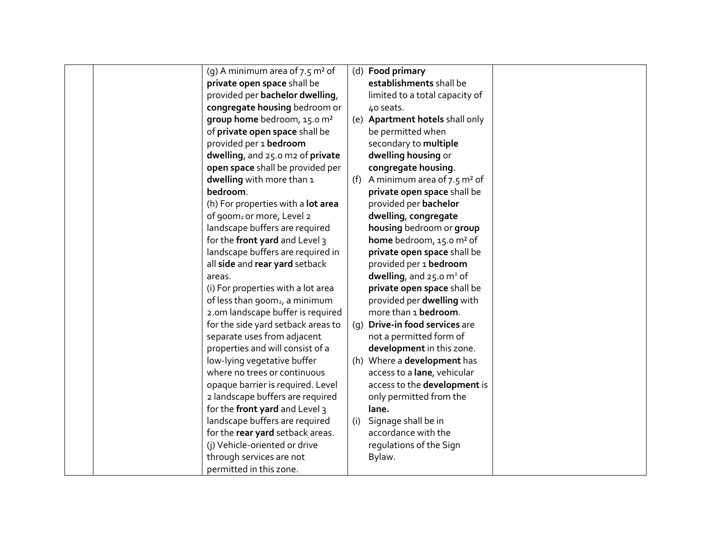|  | (g) A minimum area of $7.5$ m <sup>2</sup> of |     | (d) Food primary                        |  |
|--|-----------------------------------------------|-----|-----------------------------------------|--|
|  | private open space shall be                   |     | establishments shall be                 |  |
|  | provided per bachelor dwelling,               |     | limited to a total capacity of          |  |
|  | congregate housing bedroom or                 |     | 40 seats.                               |  |
|  | group home bedroom, 15.0 m <sup>2</sup>       |     | (e) Apartment hotels shall only         |  |
|  | of private open space shall be                |     | be permitted when                       |  |
|  | provided per 1 bedroom                        |     | secondary to multiple                   |  |
|  | dwelling, and 25.0 m2 of private              |     | dwelling housing or                     |  |
|  | open space shall be provided per              |     | congregate housing.                     |  |
|  | dwelling with more than 1                     | (f) | A minimum area of 7.5 m <sup>2</sup> of |  |
|  | bedroom.                                      |     | private open space shall be             |  |
|  | (h) For properties with a lot area            |     | provided per bachelor                   |  |
|  | of 900m <sub>2</sub> or more, Level 2         |     | dwelling, congregate                    |  |
|  | landscape buffers are required                |     | housing bedroom or group                |  |
|  | for the front yard and Level 3                |     | home bedroom, 15.0 m <sup>2</sup> of    |  |
|  | landscape buffers are required in             |     | private open space shall be             |  |
|  | all side and rear yard setback                |     | provided per 1 bedroom                  |  |
|  | areas.                                        |     | dwelling, and $25.0 \text{ m}^2$ of     |  |
|  | (i) For properties with a lot area            |     | private open space shall be             |  |
|  | of less than 900m <sub>2</sub> , a minimum    |     | provided per dwelling with              |  |
|  | 2.0m landscape buffer is required             |     | more than 1 bedroom.                    |  |
|  | for the side yard setback areas to            |     | (q) Drive-in food services are          |  |
|  | separate uses from adjacent                   |     | not a permitted form of                 |  |
|  | properties and will consist of a              |     | development in this zone.               |  |
|  | low-lying vegetative buffer                   |     | (h) Where a development has             |  |
|  | where no trees or continuous                  |     | access to a lane, vehicular             |  |
|  | opaque barrier is required. Level             |     | access to the development is            |  |
|  | 2 landscape buffers are required              |     | only permitted from the                 |  |
|  | for the front yard and Level 3                |     | lane.                                   |  |
|  | landscape buffers are required                | (i) | Signage shall be in                     |  |
|  | for the rear yard setback areas.              |     | accordance with the                     |  |
|  | (j) Vehicle-oriented or drive                 |     | regulations of the Sign                 |  |
|  | through services are not                      |     | Bylaw.                                  |  |
|  | permitted in this zone.                       |     |                                         |  |